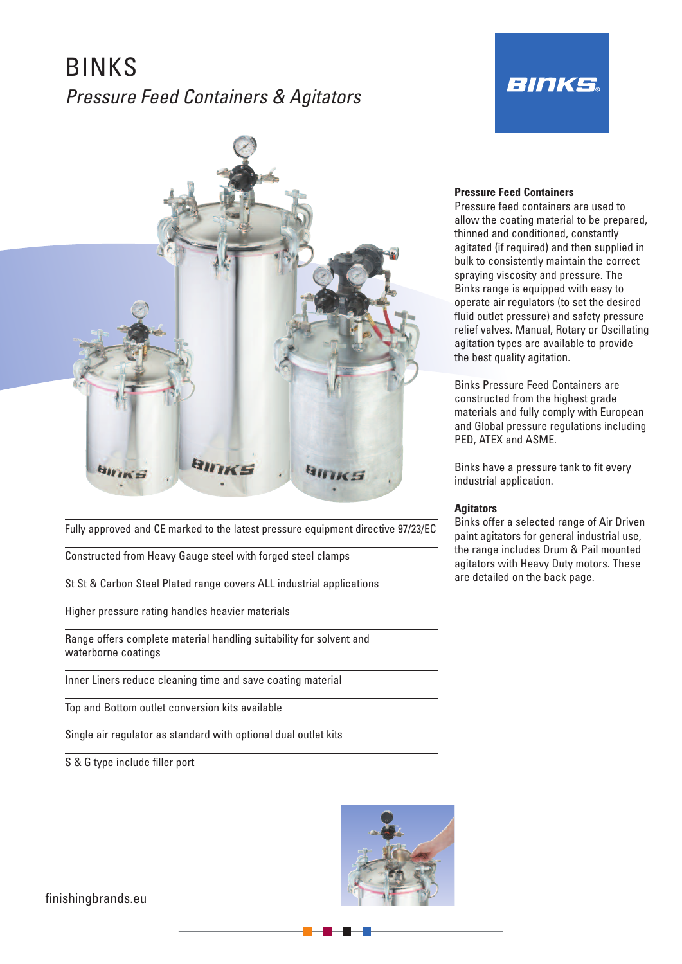# BINKS *Pressure Feed Containers & Agitators*



Fully approved and CE marked to the latest pressure equipment directive 97/23/EC

Constructed from Heavy Gauge steel with forged steel clamps

St St & Carbon Steel Plated range covers ALL industrial applications

Higher pressure rating handles heavier materials

Range offers complete material handling suitability for solvent and waterborne coatings

Inner Liners reduce cleaning time and save coating material

Top and Bottom outlet conversion kits available

Single air regulator as standard with optional dual outlet kits

S & G type include filler port



# **Pressure Feed Containers**

Pressure feed containers are used to allow the coating material to be prepared, thinned and conditioned, constantly agitated (if required) and then supplied in bulk to consistently maintain the correct spraying viscosity and pressure. The Binks range is equipped with easy to operate air regulators (to set the desired fluid outlet pressure) and safety pressure relief valves. Manual, Rotary or Oscillating agitation types are available to provide the best quality agitation.

**BINKS** 

Binks Pressure Feed Containers are constructed from the highest grade materials and fully comply with European and Global pressure regulations including PED, ATEX and ASME.

Binks have a pressure tank to fit every industrial application.

# **Agitators**

Binks offer a selected range of Air Driven paint agitators for general industrial use, the range includes Drum & Pail mounted agitators with Heavy Duty motors. These are detailed on the back page.

finishingbrands.eu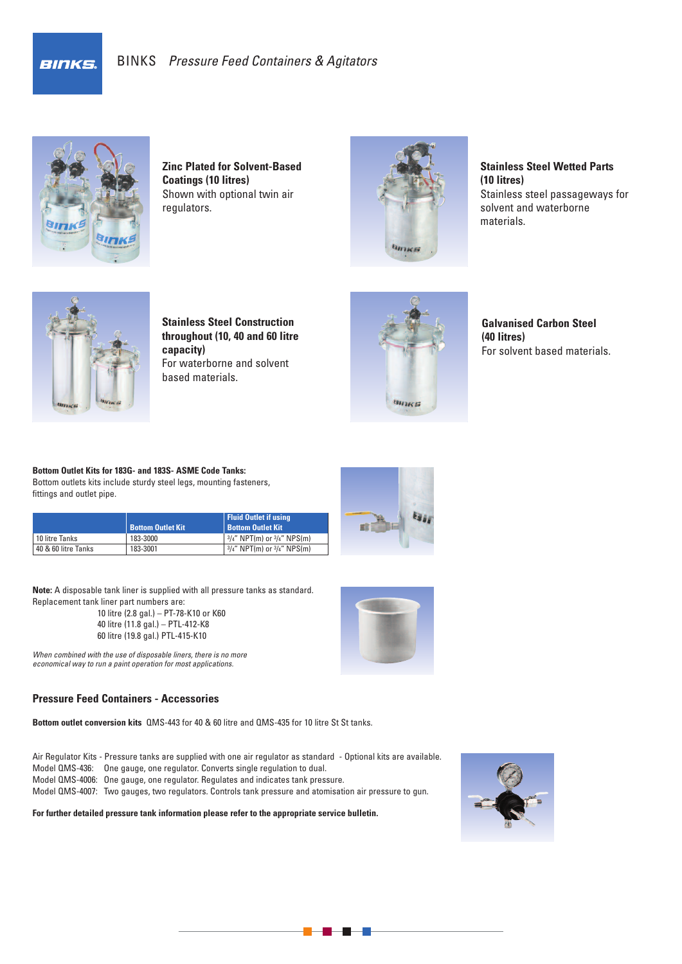**BINKS** 



**Zinc Plated for Solvent-Based Coatings (10 litres)** Shown with optional twin air regulators.



**Stainless Steel Wetted Parts (10 litres)** Stainless steel passageways for solvent and waterborne materials.



**Stainless Steel Construction throughout (10, 40 and 60 litre capacity)** For waterborne and solvent based materials.



**Galvanised Carbon Steel (40 litres)** For solvent based materials.

**Bottom Outlet Kits for 183G- and 183S- ASME Code Tanks:** Bottom outlets kits include sturdy steel legs, mounting fasteners, fittings and outlet pipe.

|                     | <b>Bottom Outlet Kit</b> | <b>Fluid Outlet if using</b><br><b>Bottom Outlet Kit</b> |
|---------------------|--------------------------|----------------------------------------------------------|
| 10 litre Tanks      | 183-3000                 | $3/4$ " NPT(m) or $3/4$ " NPS(m)                         |
| 40 & 60 litre Tanks | 183-3001                 | $3/4''$ NPT(m) or $3/4''$ NPS(m)                         |

**Note:** A disposable tank liner is supplied with all pressure tanks as standard. Replacement tank liner part numbers are:

10 litre (2.8 gal.) – PT-78-K10 or K60 40 litre (11.8 gal.) – PTL-412-K8 60 litre (19.8 gal.) PTL-415-K10

*When combined with the use of disposable liners, there is no more economical way to run a paint operation for most applications.*

# **Pressure Feed Containers - Accessories**

**Bottom outlet conversion kits** QMS-443 for 40 & 60 litre and QMS-435 for 10 litre St St tanks.

- Air Regulator Kits Pressure tanks are supplied with one air regulator as standard Optional kits are available.
- Model QMS-436: One gauge, one regulator. Converts single regulation to dual.
- Model QMS-4006: One gauge, one regulator. Regulates and indicates tank pressure.

Model QMS-4007: Two gauges, two regulators. Controls tank pressure and atomisation air pressure to gun.

**For further detailed pressure tank information please refer to the appropriate service bulletin.**





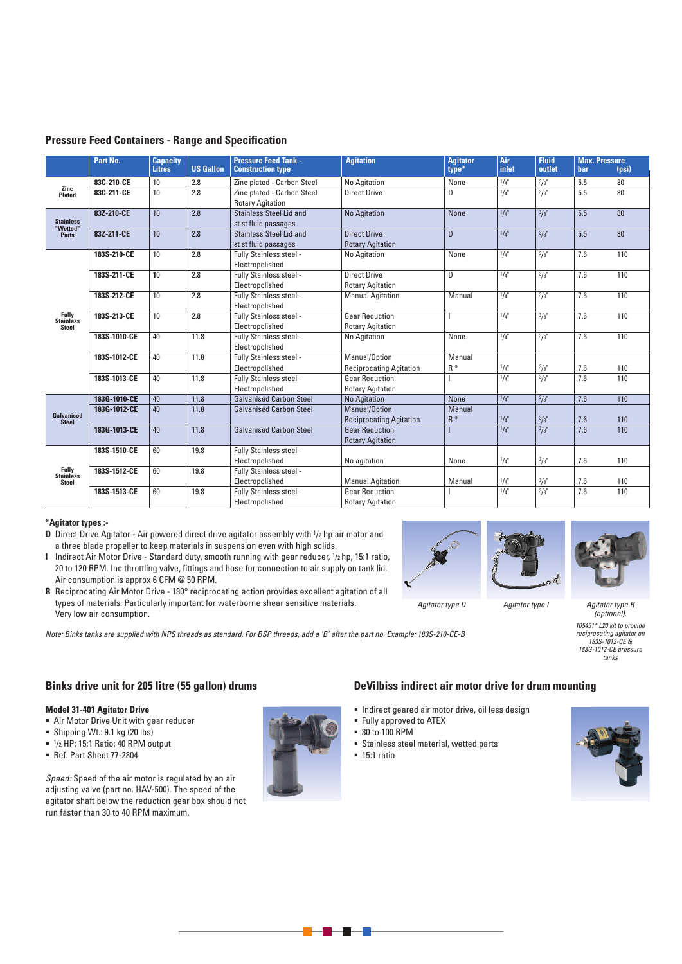|                                                                                                                                                                                                                                                                                                                                                                                                                                                                                                                                                                                                                                  | Part No.                | <b>Capacity</b><br><b>Litres</b> | <b>US Gallon</b> | <b>Pressure Feed Tank -</b><br><b>Construction type</b> | <b>Agitation</b>               | <b>Agitator</b><br>type* | Air<br>inlet | <b>Fluid</b><br>outlet | <b>bar</b> | <b>Max. Pressure</b><br>(psi) |
|----------------------------------------------------------------------------------------------------------------------------------------------------------------------------------------------------------------------------------------------------------------------------------------------------------------------------------------------------------------------------------------------------------------------------------------------------------------------------------------------------------------------------------------------------------------------------------------------------------------------------------|-------------------------|----------------------------------|------------------|---------------------------------------------------------|--------------------------------|--------------------------|--------------|------------------------|------------|-------------------------------|
|                                                                                                                                                                                                                                                                                                                                                                                                                                                                                                                                                                                                                                  | 83C-210-CE              | 10                               | 2.8              | Zinc plated - Carbon Steel                              | No Agitation                   | None                     | 1/4"         | 3/8"                   | 5.5        | 80                            |
| <b>Plated</b>                                                                                                                                                                                                                                                                                                                                                                                                                                                                                                                                                                                                                    | 83C-211-CE              | 10                               | 2.8              | Zinc plated - Carbon Steel                              | <b>Direct Drive</b>            | D                        | 1/4"         | $\frac{3}{8}$          | 5.5        | 80                            |
| Zinc<br>2.8<br>10<br>83Z-210-CE<br><b>Stainless</b><br>"Wetted"<br>83Z-211-CE<br>10<br>2.8<br><b>Parts</b><br>2.8<br>10<br>183S-210-CE<br>2.8<br>183S-211-CE<br>10<br>2.8<br>183S-212-CE<br>10<br>Fully<br>2.8<br>183S-213-CE<br>10<br><b>Stainless</b><br>Steel<br>40<br>11.8<br>183S-1010-CE<br>40<br>11.8<br>183S-1012-CE<br>11.8<br>183S-1013-CE<br>40<br>11.8<br>183G-1010-CE<br>40<br>11.8<br>183G-1012-CE<br>40<br>Galvanised<br><b>Steel</b><br>40<br>11.8<br>183G-1013-CE<br>60<br>19.8<br>183S-1510-CE<br><b>Fully</b><br>183S-1512-CE<br>60<br>19.8<br><b>Stainless</b><br><b>Steel</b><br>19.8<br>183S-1513-CE<br>60 | <b>Rotary Agitation</b> |                                  |                  |                                                         |                                |                          |              |                        |            |                               |
|                                                                                                                                                                                                                                                                                                                                                                                                                                                                                                                                                                                                                                  |                         |                                  |                  | Stainless Steel Lid and                                 | <b>No Agitation</b>            | None                     | 1/4"         | 3/8"                   | 5.5        | 80                            |
|                                                                                                                                                                                                                                                                                                                                                                                                                                                                                                                                                                                                                                  |                         |                                  |                  | st st fluid passages                                    |                                |                          |              |                        |            |                               |
|                                                                                                                                                                                                                                                                                                                                                                                                                                                                                                                                                                                                                                  |                         |                                  |                  | Stainless Steel Lid and                                 | <b>Direct Drive</b>            | D                        | $1/4$ "      | 3/8"                   | 5.5        | 80                            |
|                                                                                                                                                                                                                                                                                                                                                                                                                                                                                                                                                                                                                                  |                         |                                  |                  | st st fluid passages                                    | <b>Rotary Agitation</b>        |                          |              |                        |            |                               |
|                                                                                                                                                                                                                                                                                                                                                                                                                                                                                                                                                                                                                                  |                         |                                  |                  | Fully Stainless steel -                                 | No Agitation                   | None                     | $1/4$ "      | 3/8"                   | 7.6        | 110                           |
|                                                                                                                                                                                                                                                                                                                                                                                                                                                                                                                                                                                                                                  |                         |                                  |                  | Electropolished                                         |                                |                          |              |                        |            |                               |
|                                                                                                                                                                                                                                                                                                                                                                                                                                                                                                                                                                                                                                  |                         |                                  |                  | Fully Stainless steel -                                 | <b>Direct Drive</b>            | D                        | 1/4"         | 3/8"                   | 7.6        | 110                           |
|                                                                                                                                                                                                                                                                                                                                                                                                                                                                                                                                                                                                                                  |                         |                                  |                  | Electropolished                                         | <b>Rotary Agitation</b>        |                          |              |                        |            |                               |
|                                                                                                                                                                                                                                                                                                                                                                                                                                                                                                                                                                                                                                  |                         |                                  |                  | Fully Stainless steel -                                 | <b>Manual Agitation</b>        | Manual                   | 1/4"         | 3/8"                   | 7.6        | 110                           |
|                                                                                                                                                                                                                                                                                                                                                                                                                                                                                                                                                                                                                                  |                         |                                  |                  | Electropolished                                         |                                |                          |              |                        |            |                               |
|                                                                                                                                                                                                                                                                                                                                                                                                                                                                                                                                                                                                                                  |                         |                                  |                  | Fully Stainless steel -                                 | <b>Gear Reduction</b>          |                          | $1/4$ "      | 3/8"                   | 7.6        | 110                           |
|                                                                                                                                                                                                                                                                                                                                                                                                                                                                                                                                                                                                                                  |                         |                                  |                  | Electropolished                                         | <b>Rotary Agitation</b>        |                          |              |                        |            |                               |
|                                                                                                                                                                                                                                                                                                                                                                                                                                                                                                                                                                                                                                  |                         |                                  |                  | Fully Stainless steel -                                 | No Agitation                   | None                     | $1/4$ "      | 3/8"                   | 7.6        | 110                           |
|                                                                                                                                                                                                                                                                                                                                                                                                                                                                                                                                                                                                                                  |                         |                                  |                  | Electropolished                                         |                                |                          |              |                        |            |                               |
|                                                                                                                                                                                                                                                                                                                                                                                                                                                                                                                                                                                                                                  |                         |                                  |                  | Fully Stainless steel -                                 | Manual/Option                  | Manual                   |              |                        |            |                               |
|                                                                                                                                                                                                                                                                                                                                                                                                                                                                                                                                                                                                                                  |                         |                                  |                  | Electropolished                                         | <b>Reciprocating Agitation</b> | $R^*$                    | 1/4"         | 3/8"                   | 7.6        | 110                           |
|                                                                                                                                                                                                                                                                                                                                                                                                                                                                                                                                                                                                                                  |                         |                                  |                  | Fully Stainless steel -                                 | <b>Gear Reduction</b>          |                          | 1/4"         | $\frac{3}{8}$          | 7.6        | 110                           |
|                                                                                                                                                                                                                                                                                                                                                                                                                                                                                                                                                                                                                                  |                         |                                  |                  | Electropolished                                         | <b>Rotary Agitation</b>        |                          |              |                        |            |                               |
|                                                                                                                                                                                                                                                                                                                                                                                                                                                                                                                                                                                                                                  |                         |                                  |                  | <b>Galvanised Carbon Steel</b>                          | <b>No Agitation</b>            | <b>None</b>              | 1/4"         | 3/8"                   | 7.6        | 110                           |
|                                                                                                                                                                                                                                                                                                                                                                                                                                                                                                                                                                                                                                  |                         |                                  |                  | <b>Galvanised Carbon Steel</b>                          | Manual/Option                  | Manual                   |              |                        |            |                               |
|                                                                                                                                                                                                                                                                                                                                                                                                                                                                                                                                                                                                                                  |                         |                                  |                  |                                                         | <b>Reciprocating Agitation</b> | $R^*$                    | 1/4"         | 3/8"                   | 7.6        | 110                           |
|                                                                                                                                                                                                                                                                                                                                                                                                                                                                                                                                                                                                                                  |                         |                                  |                  | <b>Galvanised Carbon Steel</b>                          | <b>Gear Reduction</b>          |                          | $1/4$ "      | 3/8"                   | 7.6        | 110                           |
|                                                                                                                                                                                                                                                                                                                                                                                                                                                                                                                                                                                                                                  |                         |                                  |                  |                                                         | <b>Rotary Agitation</b>        |                          |              |                        |            |                               |
|                                                                                                                                                                                                                                                                                                                                                                                                                                                                                                                                                                                                                                  |                         |                                  |                  | Fully Stainless steel -                                 |                                |                          |              |                        |            |                               |
|                                                                                                                                                                                                                                                                                                                                                                                                                                                                                                                                                                                                                                  |                         |                                  |                  | Electropolished                                         | No agitation                   | None                     | 1/4"         | 3/8"                   | 7.6        | 110                           |
|                                                                                                                                                                                                                                                                                                                                                                                                                                                                                                                                                                                                                                  |                         |                                  |                  | Fully Stainless steel -                                 |                                |                          |              |                        |            |                               |
|                                                                                                                                                                                                                                                                                                                                                                                                                                                                                                                                                                                                                                  |                         |                                  |                  | Electropolished                                         | <b>Manual Agitation</b>        | Manual                   | 1/4"         | 3/8"                   | 7.6        | 110                           |
|                                                                                                                                                                                                                                                                                                                                                                                                                                                                                                                                                                                                                                  |                         |                                  |                  | Fully Stainless steel -                                 | <b>Gear Reduction</b>          |                          | 1/4"         | 3/8"                   | 7.6        | 110                           |
|                                                                                                                                                                                                                                                                                                                                                                                                                                                                                                                                                                                                                                  |                         |                                  |                  | Electropolished                                         | <b>Rotary Agitation</b>        |                          |              |                        |            |                               |

# **Pressure Feed Containers - Range and Specification**

## **\*Agitator types :-**

- **D** Direct Drive Agitator Air powered direct drive agitator assembly with  $\frac{1}{2}$  hp air motor and a three blade propeller to keep materials in suspension even with high solids.
- **I** Indirect Air Motor Drive Standard duty, smooth running with gear reducer, 1/2 hp, 15:1 ratio, 20 to 120 RPM. Inc throttling valve, fittings and hose for connection to air supply on tank lid. Air consumption is approx 6 CFM @ 50 RPM.
- **R** Reciprocating Air Motor Drive 180° reciprocating action provides excellent agitation of all types of materials. Particularly important for waterborne shear sensitive materials. Very low air consumption.

Note: Binks tanks are supplied with NPS threads as standard. For BSP threads, add a 'B' after the part no. Example: 183S-210-CE-B







*Agitator type R (optional). 105451\* L20 kit to provide reciprocating agitator on 183S-1012-CE & 183G-1012-CE pressure tanks*

**Binks drive unit for 205 litre (55 gallon) drums**

## **Model 31-401 Agitator Drive**

- Air Motor Drive Unit with gear reducer
- Shipping Wt.: 9.1 kg (20 lbs)
- $1/2$  HP; 15:1 Ratio; 40 RPM output
- Ref. Part Sheet 77-2804

*Speed:* Speed of the air motor is regulated by an air adjusting valve (part no. HAV-500). The speed of the agitator shaft below the reduction gear box should not run faster than 30 to 40 RPM maximum.

## **DeVilbiss indirect air motor drive for drum mounting**

- $\blacksquare$  Indirect geared air motor drive, oil less design
- **Fully approved to ATEX**
- 30 to 100 RPM
- Stainless steel material, wetted parts
- **-** 15:1 ratio